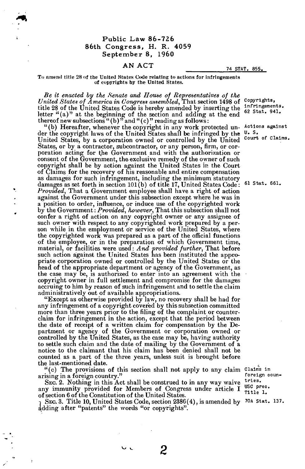## **Public Law 86-72 6 86th Congress, H. R. 4059 September 8, I960**

## **AN ACT 74 STAT. 855.**

## To amend title 28 of the United States Code relating to actions for infringements **of copyrights by the United States.**

*Be it enacted by the Senate and Home of Representatives of the United States of America in Congress assembled,* **That section 1498 of title 28 of the United States Code is hereby amended by inserting the letter "(a)" at the beginning of the section and adding at the end thereof new subsections " (b)" and " (c)" reading as follows: Copyrights, infringements. 62 Stat. 941.** 

**"(b) Hereafter, whenever the copyright in any work protected under the copyright laws of the United States shall be infringed by the United States, by a corporation owned or controlled by the United States, or by a contractor, subcontractor, or any person, firm, or cor**poration acting for the Government and with the authorization or **consent of the Government, the exclusive remedy of the owner of such copyright shall be by action against the United States in the Court of Claims for the recovery of his reasonable and entire compensation as damages for such infringement, including the minimum statutory damages as set forth in section 101 (b) of title 17, United States Code:**  *Provided,* **That a Government employee shall have a right of action against the Government under this subsection except where he was in a position to order, influence, or induce use of the copyrighted work by the Government:** *Provided, however,* **That this subsection shall not confer a right of action on any copyright owner or any assignee of such owner with respect to any copyrighted work prepared by a person while in the employment or service of the United States, where the copyrighted work was prepared as a part of the official functions of the employee, or in the preparation of which Government time,**  material, or facilities were used: *And provided further*. That before such action against the United States has been instituted the appro**priate corporation owned or controlled by the United States or the head of the appropriate department or agency of the Government, as the case may be, is authorized to enter into an agreement with the copyright owner in full settlement and compromise for the damages accruing to him by reason of such infringement and to settle the claim administratively out of available appropriations. U. S. Court of Claims.** 

**"Except as otherwise provided by law, no recovery shall be had for any infringement of a copyright covered by this subsection committed more than three years prior to the filing of the complaint or counterclaim for infringement in the action, except that the period between the date of receipt of a written claim for compensation by the Department or agency of the Government or corporation owned or controlled by the United States, as the case may be, having authority to settle such claim and the date of mailing by the Government of a notice to the claimant that his claim has been denied shall not be counted as a part of the three years, unless suit is brought before the last-mentioned date.** 

**"(c) The provisions of this section shall not apply to any claim Claims in arising in a foreign country."** 

**SEC. 2. Nothing in this Act shall be construed to in any way waive any immunity provided for Members of Congress under article I of section 6 of the Constitution of the United States.** 

**i SEC. 3. Title 10, United States Code, section 2386(4), is amended by 70A Stat. 137. adding after "patents" the words "or copyrights".** 

*2* 

**foreign countries. USC prec. Title 1.** 

**61 Stat. 661.** 

**Actions against**